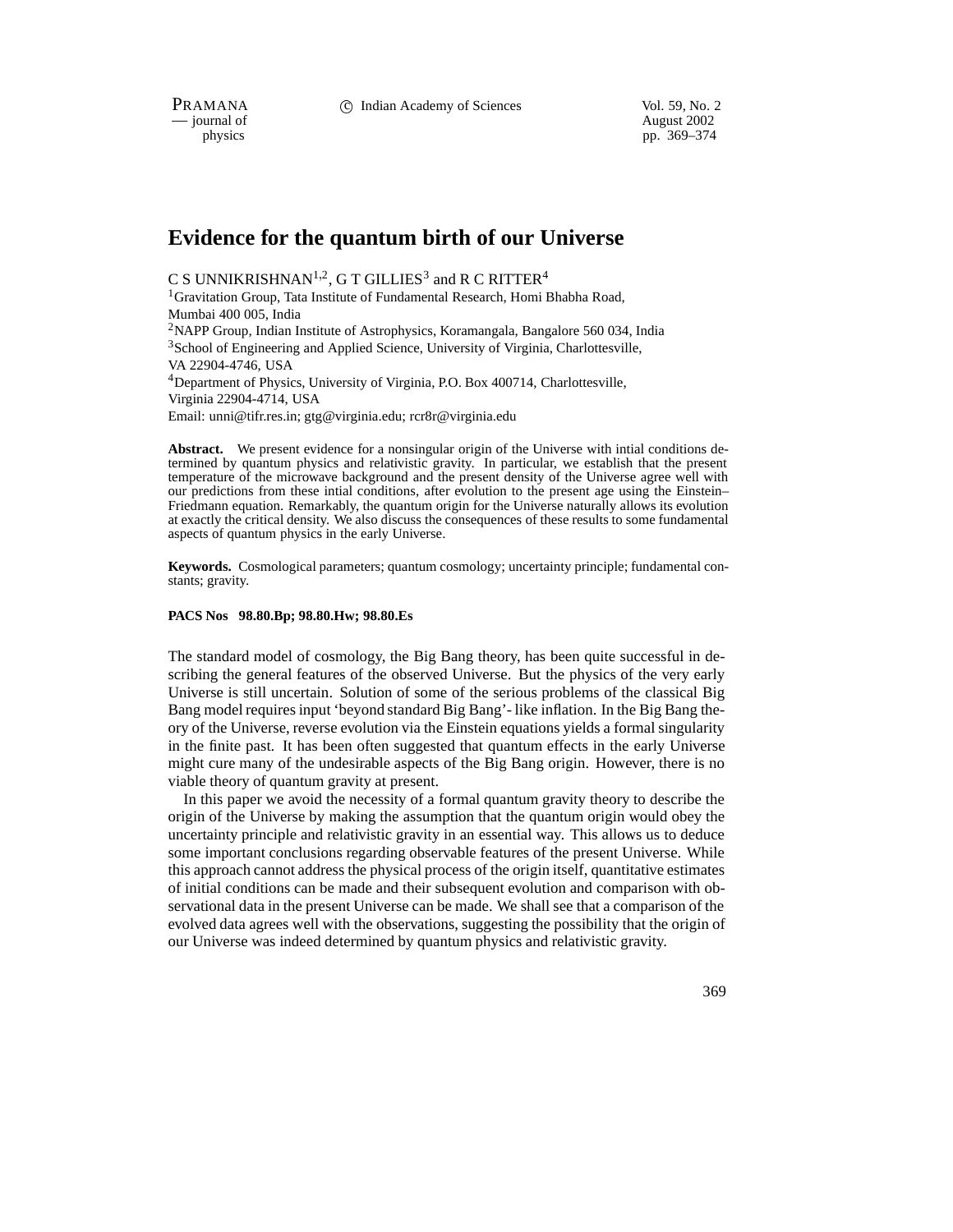PRAMANA 
<sup>C</sup> Indian Academy of Sciences Vol. 59, No. 2<br>
— iournal of August 2002

position of the matrix of the matrix of the matrix of the matrix of the matrix of the matrix of the matrix of the matrix of the matrix of the matrix of the matrix of the matrix of the matrix of the matrix of the matrix of pp. 369–374

# **Evidence for the quantum birth of our Universe**

C S UNNIKRISHNAN<sup>1,2</sup>, G T GILLIES<sup>3</sup> and R C RITTER<sup>4</sup>

<sup>1</sup>Gravitation Group, Tata Institute of Fundamental Research, Homi Bhabha Road, Mumbai 400 005, India <sup>2</sup>NAPP Group, Indian Institute of Astrophysics, Koramangala, Bangalore 560 034, India

<sup>3</sup>School of Engineering and Applied Science, University of Virginia, Charlottesville, VA 22904-4746, USA <sup>4</sup>Department of Physics, University of Virginia, P.O. Box 400714, Charlottesville, Virginia 22904-4714, USA

Email: unni@tifr.res.in; gtg@virginia.edu; rcr8r@virginia.edu

**Abstract.** We present evidence for a nonsingular origin of the Universe with intial conditions determined by quantum physics and relativistic gravity. In particular, we establish that the present temperature of the microwave background and the present density of the Universe agree well with our predictions from these intial conditions, after evolution to the present age using the Einstein– Friedmann equation. Remarkably, the quantum origin for the Universe naturally allows its evolution at exactly the critical density. We also discuss the consequences of these results to some fundamental aspects of quantum physics in the early Universe.

**Keywords.** Cosmological parameters; quantum cosmology; uncertainty principle; fundamental constants; gravity.

#### **PACS Nos 98.80.Bp; 98.80.Hw; 98.80.Es**

The standard model of cosmology, the Big Bang theory, has been quite successful in describing the general features of the observed Universe. But the physics of the very early Universe is still uncertain. Solution of some of the serious problems of the classical Big Bang model requires input 'beyond standard Big Bang'- like inflation. In the Big Bang theory of the Universe, reverse evolution via the Einstein equations yields a formal singularity in the finite past. It has been often suggested that quantum effects in the early Universe might cure many of the undesirable aspects of the Big Bang origin. However, there is no viable theory of quantum gravity at present.

In this paper we avoid the necessity of a formal quantum gravity theory to describe the origin of the Universe by making the assumption that the quantum origin would obey the uncertainty principle and relativistic gravity in an essential way. This allows us to deduce some important conclusions regarding observable features of the present Universe. While this approach cannot address the physical process of the origin itself, quantitative estimates of initial conditions can be made and their subsequent evolution and comparison with observational data in the present Universe can be made. We shall see that a comparison of the evolved data agrees well with the observations, suggesting the possibility that the origin of our Universe was indeed determined by quantum physics and relativistic gravity.

369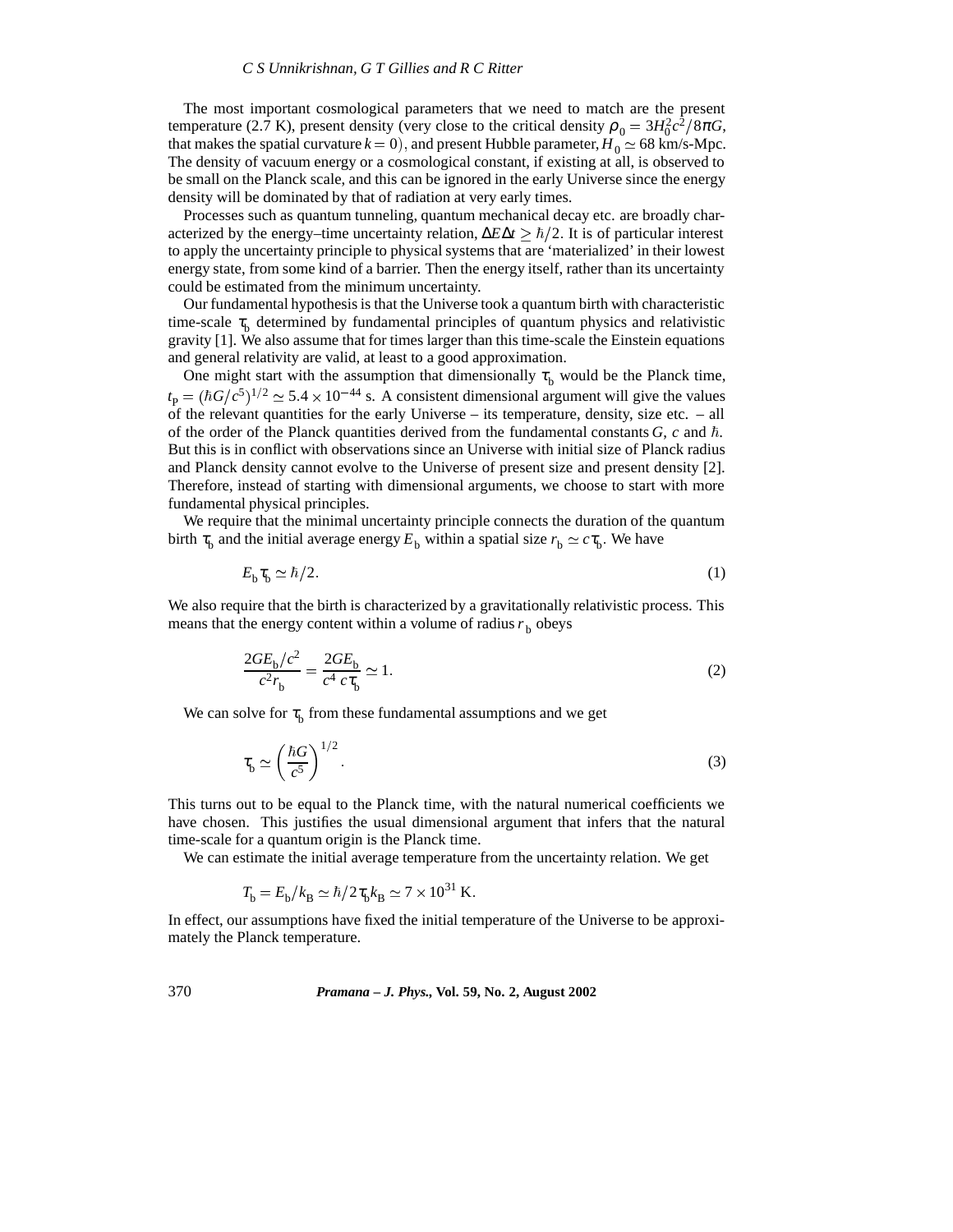The most important cosmological parameters that we need to match are the present temperature (2.7 K), present density (very close to the critical density  $\rho_0 = 3H_0^2c^2/8\pi G$ , that makes the spatial curvature  $k = 0$ ), and present Hubble parameter,  $H_0 \simeq 68$  km/s-Mpc. The density of vacuum energy or a cosmological constant, if existing at all, is observed to be small on the Planck scale, and this can be ignored in the early Universe since the energy density will be dominated by that of radiation at very early times.

Processes such as quantum tunneling, quantum mechanical decay etc. are broadly characterized by the energy–time uncertainty relation,  $\Delta E \Delta t > \hbar/2$ . It is of particular interest to apply the uncertainty principle to physical systems that are 'materialized' in their lowest energy state, from some kind of a barrier. Then the energy itself, rather than its uncertainty could be estimated from the minimum uncertainty.

Our fundamental hypothesis is that the Universe took a quantum birth with characteristic time-scale  $\tau_{\rm h}$  determined by fundamental principles of quantum physics and relativistic gravity [1]. We also assume that for times larger than this time-scale the Einstein equations and general relativity are valid, at least to a good approximation.

One might start with the assumption that dimensionally  $\tau_b$  would be the Planck time,  $t_{\rm P} = (\hbar G/c^5)^{1/2} \simeq 5.4 \times 10^{-44}$  s. A consistent dimensional argument will give the values of the relevant quantities for the early Universe – its temperature, density, size etc. – all of the order of the Planck quantities derived from the fundamental constants  $G$ ,  $c$  and  $\hbar$ . But this is in conflict with observations since an Universe with initial size of Planck radius and Planck density cannot evolve to the Universe of present size and present density [2]. Therefore, instead of starting with dimensional arguments, we choose to start with more fundamental physical principles.

We require that the minimal uncertainty principle connects the duration of the quantum birth  $\tau_b$  and the initial average energy  $E_b$  within a spatial size  $r_b \simeq c\tau_b$ . We have

$$
E_{\rm b}\tau_{\rm b} \simeq \hbar/2. \tag{1}
$$

We also require that the birth is characterized by a gravitationally relativistic process. This means that the energy content within a volume of radius  $r<sub>b</sub>$  obeys

$$
\frac{2GE_{\rm b}/c^2}{c^2r_{\rm b}} = \frac{2GE_{\rm b}}{c^4 c\tau_{\rm b}} \simeq 1.
$$
\n(2)

We can solve for  $\tau_{\rm b}$  from these fundamental assumptions and we get

$$
\tau_{\rm b} \simeq \left(\frac{\hbar G}{c^5}\right)^{1/2}.\tag{3}
$$

This turns out to be equal to the Planck time, with the natural numerical coefficients we have chosen. This justifies the usual dimensional argument that infers that the natural time-scale for a quantum origin is the Planck time.

We can estimate the initial average temperature from the uncertainty relation. We get

$$
T_{\rm b} = E_{\rm b}/k_{\rm B} \simeq \hbar/2\tau_{\rm b}k_{\rm B} \simeq 7 \times 10^{31}
$$
 K.

In effect, our assumptions have fixed the initial temperature of the Universe to be approximately the Planck temperature.

370 *Pramana – J. Phys.,* **Vol. 59, No. 2, August 2002**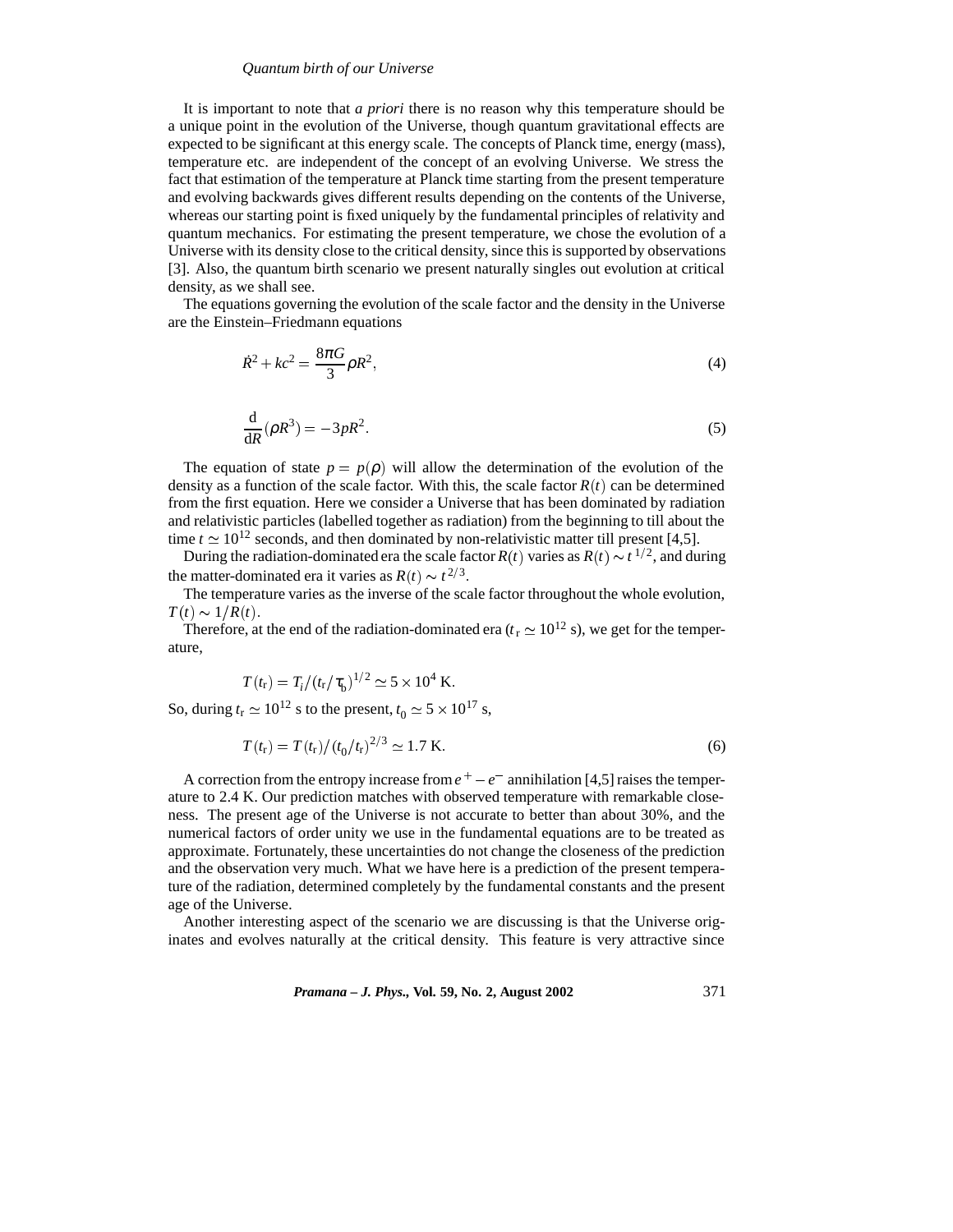### *Quantum birth of our Universe*

It is important to note that *a priori* there is no reason why this temperature should be a unique point in the evolution of the Universe, though quantum gravitational effects are expected to be significant at this energy scale. The concepts of Planck time, energy (mass), temperature etc. are independent of the concept of an evolving Universe. We stress the fact that estimation of the temperature at Planck time starting from the present temperature and evolving backwards gives different results depending on the contents of the Universe, whereas our starting point is fixed uniquely by the fundamental principles of relativity and quantum mechanics. For estimating the present temperature, we chose the evolution of a Universe with its density close to the critical density, since this is supported by observations [3]. Also, the quantum birth scenario we present naturally singles out evolution at critical density, as we shall see.

The equations governing the evolution of the scale factor and the density in the Universe are the Einstein–Friedmann equations

$$
\dot{R}^2 + kc^2 = \frac{8\pi G}{3}\rho R^2,\tag{4}
$$

$$
\frac{\mathrm{d}}{\mathrm{d}R}(\rho R^3) = -3pR^2. \tag{5}
$$

The equation of state  $p = p(\rho)$  will allow the determination of the evolution of the density as a function of the scale factor. With this, the scale factor  $R(t)$  can be determined from the first equation. Here we consider a Universe that has been dominated by radiation and relativistic particles (labelled together as radiation) from the beginning to till about the time  $t \approx 10^{12}$  seconds, and then dominated by non-relativistic matter till present [4,5].

During the radiation-dominated era the scale factor  $R(t)$  varies as  $R(t) \sim t^{1/2}$ , and during the matter-dominated era it varies as  $R(t) \sim t^{2/3}$ .

The temperature varies as the inverse of the scale factor throughout the whole evolution,  $T(t) \sim 1/R(t)$ .

Therefore, at the end of the radiation-dominated era ( $t_r \simeq 10^{12}$  s), we get for the temperature,

$$
T(t_{\rm r}) = T_{\rm i} / (t_{\rm r} / \tau_{\rm b})^{1/2} \simeq 5 \times 10^4 \,\rm K.
$$

So, during  $t_r \approx 10^{12}$  s to the present,  $t_0 \approx 5 \times 10^{17}$  s,

$$
T(t_{\rm r}) = T(t_{\rm r})/(t_0/t_{\rm r})^{2/3} \simeq 1.7 \text{ K} \tag{6}
$$

A correction from the entropy increase from  $e^+ - e^-$  annihilation [4,5] raises the temperature to 2.4 K. Our prediction matches with observed temperature with remarkable closeness. The present age of the Universe is not accurate to better than about 30%, and the numerical factors of order unity we use in the fundamental equations are to be treated as approximate. Fortunately, these uncertainties do not change the closeness of the prediction and the observation very much. What we have here is a prediction of the present temperature of the radiation, determined completely by the fundamental constants and the present age of the Universe.

Another interesting aspect of the scenario we are discussing is that the Universe originates and evolves naturally at the critical density. This feature is very attractive since

*Pramana – J. Phys.,* **Vol. 59, No. 2, August 2002** 371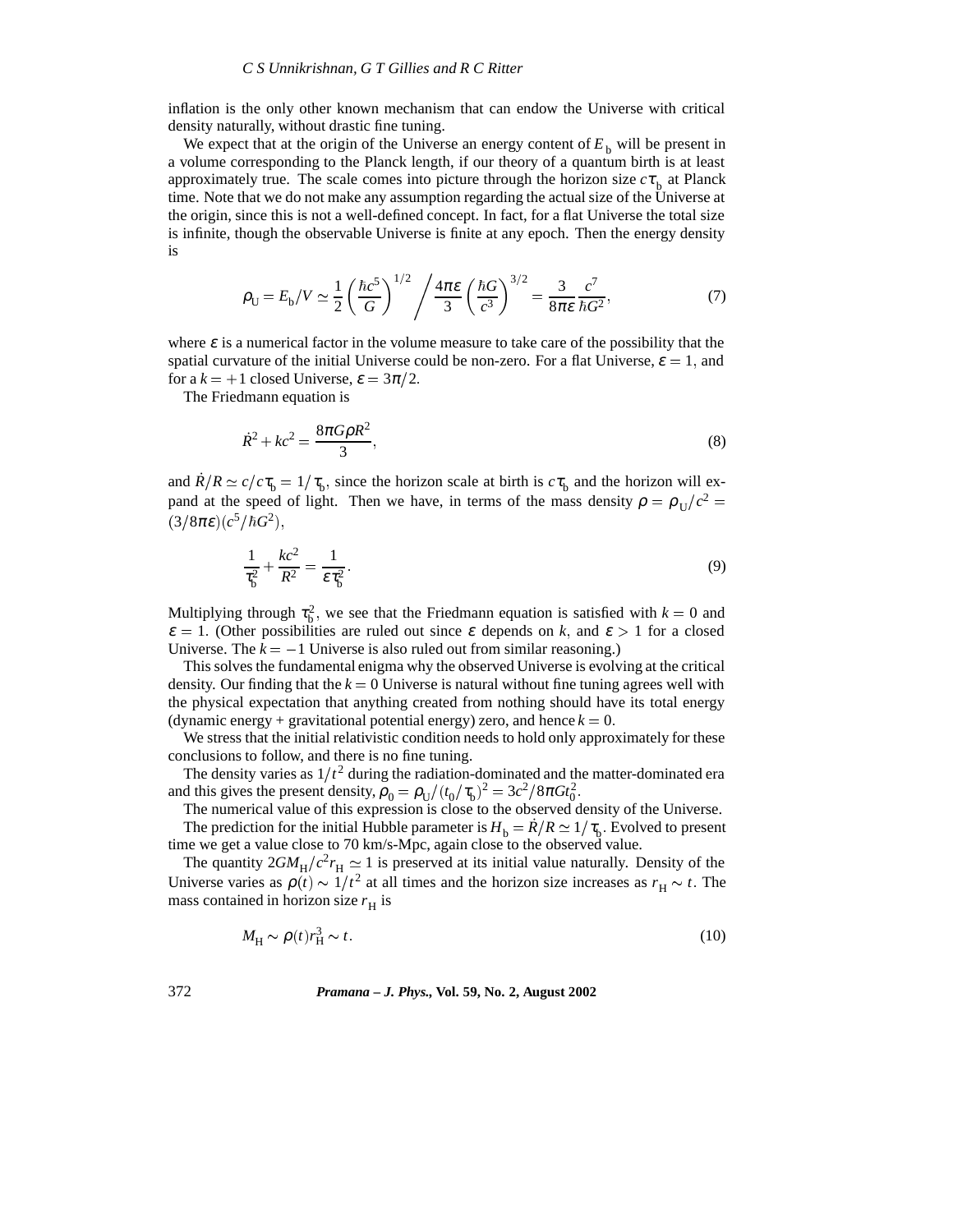inflation is the only other known mechanism that can endow the Universe with critical density naturally, without drastic fine tuning.

We expect that at the origin of the Universe an energy content of  $E<sub>b</sub>$  will be present in a volume corresponding to the Planck length, if our theory of a quantum birth is at least approximately true. The scale comes into picture through the horizon size  $c\tau_{\rm h}$  at Planck time. Note that we do not make any assumption regarding the actual size of the Universe at the origin, since this is not a well-defined concept. In fact, for a flat Universe the total size is infinite, though the observable Universe is finite at any epoch. Then the energy density is

$$
\rho_{\rm U} = E_{\rm b}/V \simeq \frac{1}{2} \left( \frac{\hbar c^5}{G} \right)^{1/2} / \frac{4\pi \varepsilon}{3} \left( \frac{\hbar G}{c^3} \right)^{3/2} = \frac{3}{8\pi \varepsilon} \frac{c^7}{\hbar G^2},\tag{7}
$$

where  $\varepsilon$  is a numerical factor in the volume measure to take care of the possibility that the spatial curvature of the initial Universe could be non-zero. For a flat Universe,  $\varepsilon = 1$ , and for a  $k = +1$  closed Universe,  $\varepsilon = 3\pi/2$ .

The Friedmann equation is

$$
\dot{R}^2 + kc^2 = \frac{8\pi G\rho R^2}{3},\tag{8}
$$

and  $\dot{R}/R \simeq c/c\tau_{\rm b} = 1/\tau_{\rm b}$ , since the horizon scale at birth is  $c\tau_{\rm b}$  and the horizon will expand at the speed of light. Then we have, in terms of the mass density  $\rho = \rho_{II}/c^2$  $(3/8\pi\varepsilon)(c^5/\hbar G^2),$ 

$$
\frac{1}{\tau_b^2} + \frac{kc^2}{R^2} = \frac{1}{\varepsilon \tau_b^2}.
$$
\n(9)

Multiplying through  $\tau_b^2$ , we see that the Friedmann equation is satisfied with  $k = 0$  and  $\varepsilon = 1$ . (Other possibilities are ruled out since  $\varepsilon$  depends on k, and  $\varepsilon > 1$  for a closed Universe. The  $k = -1$  Universe is also ruled out from similar reasoning.)

This solves the fundamental enigma why the observed Universe is evolving at the critical density. Our finding that the  $k = 0$  Universe is natural without fine tuning agrees well with the physical expectation that anything created from nothing should have its total energy (dynamic energy + gravitational potential energy) zero, and hence  $k = 0$ .

We stress that the initial relativistic condition needs to hold only approximately for these conclusions to follow, and there is no fine tuning.

The density varies as  $1/t^2$  during the radiation-dominated and the matter-dominated era and this gives the present density,  $\rho_0 = \rho_U/(t_0/\tau_b)^2 = 3c^2/8\pi G t_0^2$ .

The numerical value of this expression is close to the observed density of the Universe.

The prediction for the initial Hubble parameter is  $H_b = \dot{R}/R \simeq 1/\tau_b$ . Evolved to present time we get a value close to 70 km/s-Mpc, again close to the observed value.

The quantity  $2GM_H/c^2r_H \simeq 1$  is preserved at its initial value naturally. Density of the Universe varies as  $\rho(t) \sim 1/t^2$  at all times and the horizon size increases as  $r_H \sim t$ . The mass contained in horizon size  $r_H$  is

$$
M_{\rm H} \sim \rho(t) r_{\rm H}^3 \sim t \tag{10}
$$

#### 372 *Pramana – J. Phys.,* **Vol. 59, No. 2, August 2002**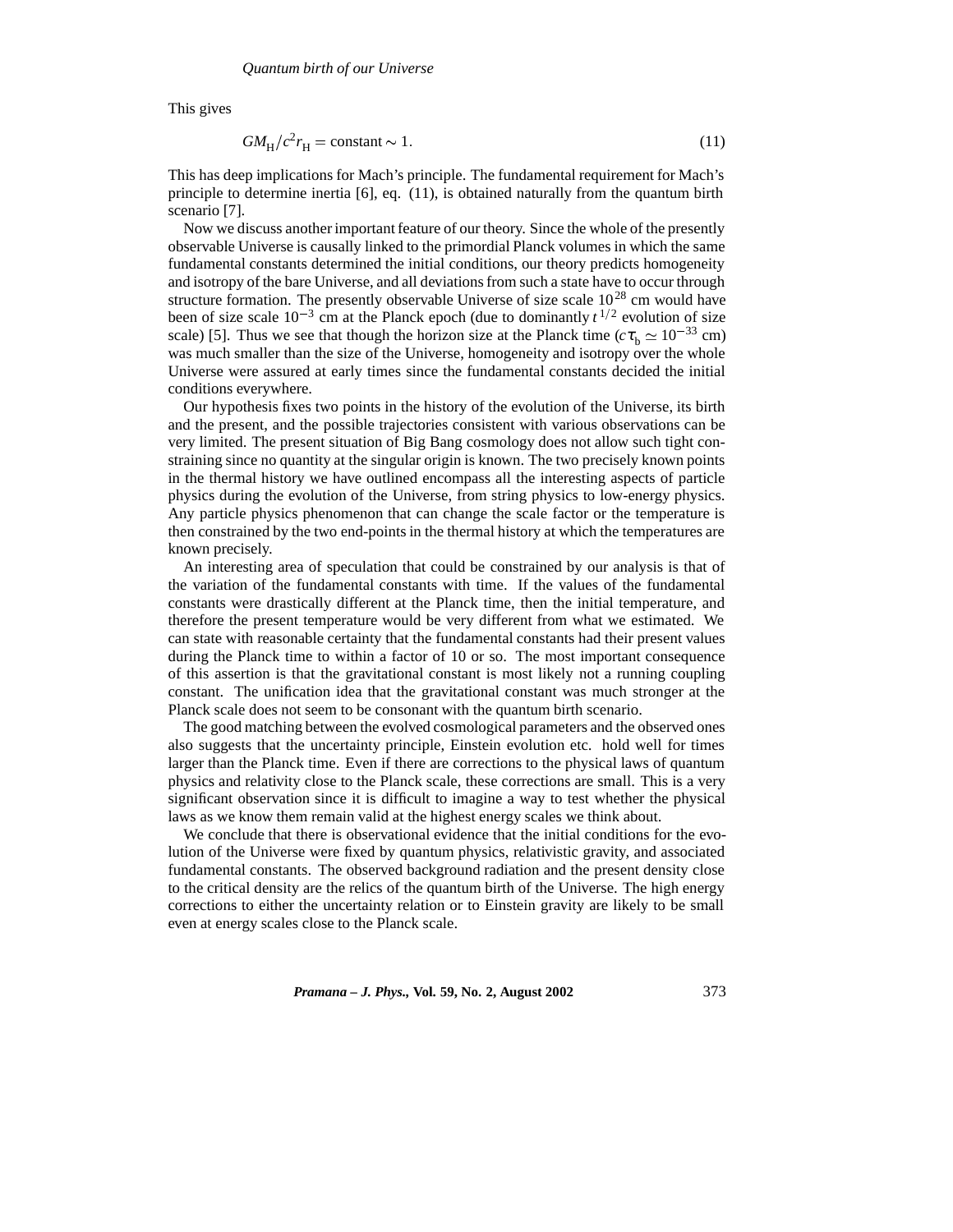This gives

$$
GM_{\rm H}/c^2r_{\rm H} = \text{constant} \sim 1. \tag{11}
$$

This has deep implications for Mach's principle. The fundamental requirement for Mach's principle to determine inertia [6], eq. (11), is obtained naturally from the quantum birth scenario [7].

Now we discuss another important feature of our theory. Since the whole of the presently observable Universe is causally linked to the primordial Planck volumes in which the same fundamental constants determined the initial conditions, our theory predicts homogeneity and isotropy of the bare Universe, and all deviations from such a state have to occur through structure formation. The presently observable Universe of size scale  $10^{28}$  cm would have been of size scale  $10^{-3}$  cm at the Planck epoch (due to dominantly  $t^{1/2}$  evolution of size scale) [5]. Thus we see that though the horizon size at the Planck time ( $c\tau_b \simeq 10^{-33}$  cm) was much smaller than the size of the Universe, homogeneity and isotropy over the whole Universe were assured at early times since the fundamental constants decided the initial conditions everywhere.

Our hypothesis fixes two points in the history of the evolution of the Universe, its birth and the present, and the possible trajectories consistent with various observations can be very limited. The present situation of Big Bang cosmology does not allow such tight constraining since no quantity at the singular origin is known. The two precisely known points in the thermal history we have outlined encompass all the interesting aspects of particle physics during the evolution of the Universe, from string physics to low-energy physics. Any particle physics phenomenon that can change the scale factor or the temperature is then constrained by the two end-points in the thermal history at which the temperatures are known precisely.

An interesting area of speculation that could be constrained by our analysis is that of the variation of the fundamental constants with time. If the values of the fundamental constants were drastically different at the Planck time, then the initial temperature, and therefore the present temperature would be very different from what we estimated. We can state with reasonable certainty that the fundamental constants had their present values during the Planck time to within a factor of 10 or so. The most important consequence of this assertion is that the gravitational constant is most likely not a running coupling constant. The unification idea that the gravitational constant was much stronger at the Planck scale does not seem to be consonant with the quantum birth scenario.

The good matching between the evolved cosmological parameters and the observed ones also suggests that the uncertainty principle, Einstein evolution etc. hold well for times larger than the Planck time. Even if there are corrections to the physical laws of quantum physics and relativity close to the Planck scale, these corrections are small. This is a very significant observation since it is difficult to imagine a way to test whether the physical laws as we know them remain valid at the highest energy scales we think about.

We conclude that there is observational evidence that the initial conditions for the evolution of the Universe were fixed by quantum physics, relativistic gravity, and associated fundamental constants. The observed background radiation and the present density close to the critical density are the relics of the quantum birth of the Universe. The high energy corrections to either the uncertainty relation or to Einstein gravity are likely to be small even at energy scales close to the Planck scale.

*Pramana – J. Phys.,* **Vol. 59, No. 2, August 2002** 373